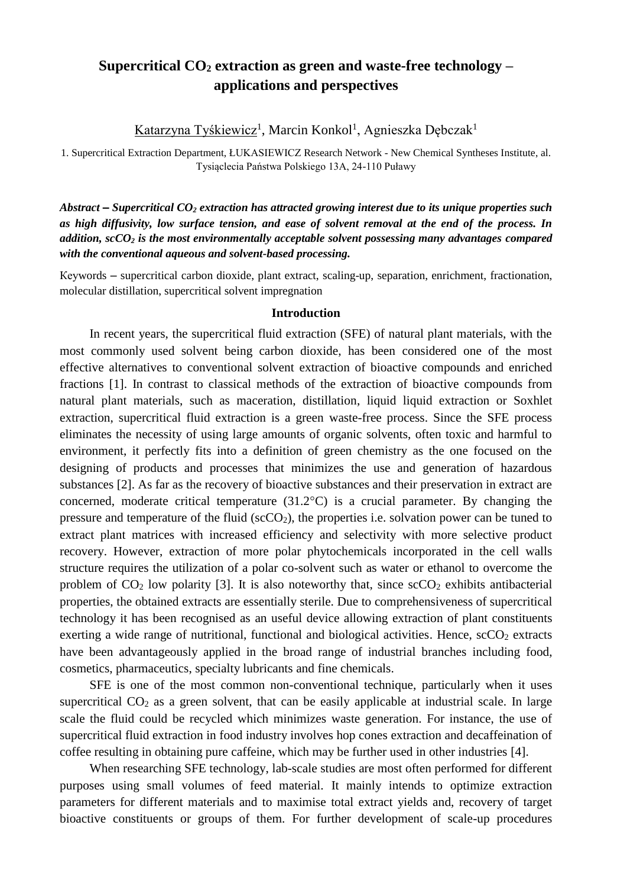## **Supercritical CO<sup>2</sup> extraction as green and waste-free technology – applications and perspectives**

Katarzyna Tyśkiewicz<sup>1</sup>, Marcin Konkol<sup>1</sup>, Agnieszka Dębczak<sup>1</sup>

1. Supercritical Extraction Department, ŁUKASIEWICZ Research Network - New Chemical Syntheses Institute, al. Tysiąclecia Państwa Polskiego 13A, 24-110 Puławy

*Abstract – Supercritical CO<sup>2</sup> extraction has attracted growing interest due to its unique properties such as high diffusivity, low surface tension, and ease of solvent removal at the end of the process. In addition, scCO<sup>2</sup> is the most environmentally acceptable solvent possessing many advantages compared with the conventional aqueous and solvent-based processing.*

Кеуwords – supercritical carbon dioxide, plant extract, scaling-up, separation, enrichment, fractionation, molecular distillation, supercritical solvent impregnation

## **Introduction**

In recent years, the supercritical fluid extraction (SFE) of natural plant materials, with the most commonly used solvent being carbon dioxide, has been considered one of the most effective alternatives to conventional solvent extraction of bioactive compounds and enriched fractions [1]. In contrast to classical methods of the extraction of bioactive compounds from natural plant materials, such as maceration, distillation, liquid liquid extraction or Soxhlet extraction, supercritical fluid extraction is a green waste-free process. Since the SFE process eliminates the necessity of using large amounts of organic solvents, often toxic and harmful to environment, it perfectly fits into a definition of green chemistry as the one focused on the designing of products and processes that minimizes the use and generation of hazardous substances [2]. As far as the recovery of bioactive substances and their preservation in extract are concerned, moderate critical temperature (31.2°C) is a crucial parameter. By changing the pressure and temperature of the fluid  $({\rm scCO_2})$ , the properties i.e. solvation power can be tuned to extract plant matrices with increased efficiency and selectivity with more selective product recovery. However, extraction of more polar phytochemicals incorporated in the cell walls structure requires the utilization of a polar co-solvent such as water or ethanol to overcome the problem of  $CO_2$  low polarity [3]. It is also noteworthy that, since  $\sec CO_2$  exhibits antibacterial properties, the obtained extracts are essentially sterile. Due to comprehensiveness of supercritical technology it has been recognised as an useful device allowing extraction of plant constituents exerting a wide range of nutritional, functional and biological activities. Hence,  $\sec 0<sub>2</sub>$  extracts have been advantageously applied in the broad range of industrial branches including food, cosmetics, pharmaceutics, specialty lubricants and fine chemicals.

SFE is one of the most common non-conventional technique, particularly when it uses supercritical CO<sub>2</sub> as a green solvent, that can be easily applicable at industrial scale. In large scale the fluid could be recycled which minimizes waste generation. For instance, the use of supercritical fluid extraction in food industry involves hop cones extraction and decaffeination of coffee resulting in obtaining pure caffeine, which may be further used in other industries [4].

When researching SFE technology, lab-scale studies are most often performed for different purposes using small volumes of feed material. It mainly intends to optimize extraction parameters for different materials and to maximise total extract yields and, recovery of target bioactive constituents or groups of them. For further development of scale-up procedures